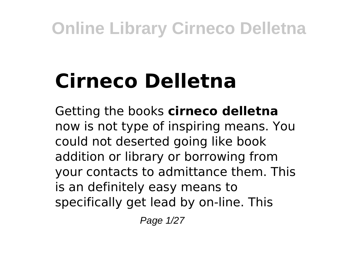# **Cirneco Delletna**

Getting the books **cirneco delletna** now is not type of inspiring means. You could not deserted going like book addition or library or borrowing from your contacts to admittance them. This is an definitely easy means to specifically get lead by on-line. This

Page 1/27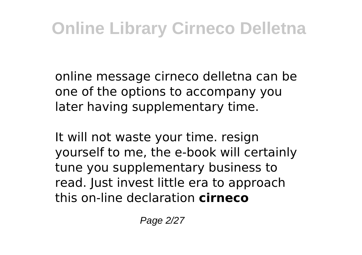online message cirneco delletna can be one of the options to accompany you later having supplementary time.

It will not waste your time. resign yourself to me, the e-book will certainly tune you supplementary business to read. Just invest little era to approach this on-line declaration **cirneco**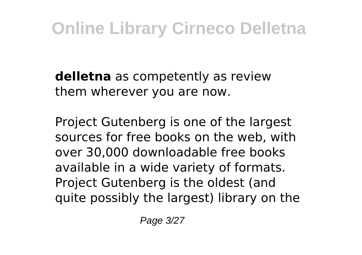**delletna** as competently as review them wherever you are now.

Project Gutenberg is one of the largest sources for free books on the web, with over 30,000 downloadable free books available in a wide variety of formats. Project Gutenberg is the oldest (and quite possibly the largest) library on the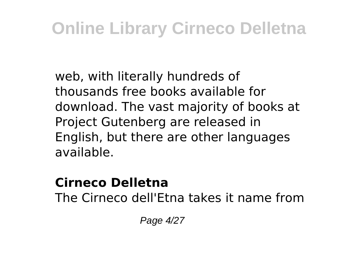web, with literally hundreds of thousands free books available for download. The vast majority of books at Project Gutenberg are released in English, but there are other languages available.

#### **Cirneco Delletna**

The Cirneco dell'Etna takes it name from

Page 4/27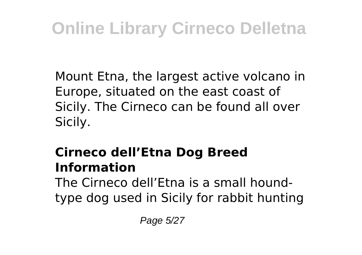Mount Etna, the largest active volcano in Europe, situated on the east coast of Sicily. The Cirneco can be found all over Sicily.

#### **Cirneco dell'Etna Dog Breed Information**

The Cirneco dell'Etna is a small houndtype dog used in Sicily for rabbit hunting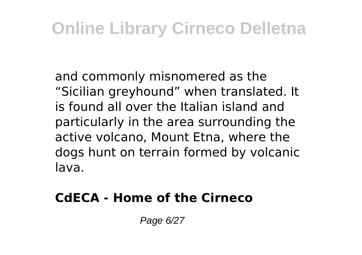and commonly misnomered as the "Sicilian greyhound" when translated. It is found all over the Italian island and particularly in the area surrounding the active volcano, Mount Etna, where the dogs hunt on terrain formed by volcanic lava.

#### **CdECA - Home of the Cirneco**

Page 6/27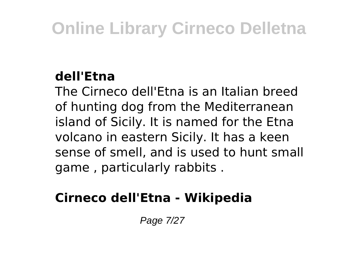#### **dell'Etna**

The Cirneco dell'Etna is an Italian breed of hunting dog from the Mediterranean island of Sicily. It is named for the Etna volcano in eastern Sicily. It has a keen sense of smell, and is used to hunt small game , particularly rabbits .

#### **Cirneco dell'Etna - Wikipedia**

Page 7/27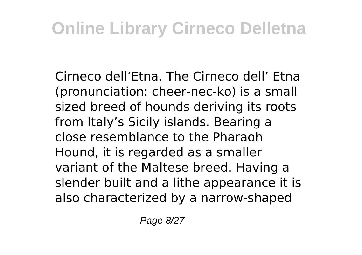Cirneco dell'Etna. The Cirneco dell' Etna (pronunciation: cheer-nec-ko) is a small sized breed of hounds deriving its roots from Italy's Sicily islands. Bearing a close resemblance to the Pharaoh Hound, it is regarded as a smaller variant of the Maltese breed. Having a slender built and a lithe appearance it is also characterized by a narrow-shaped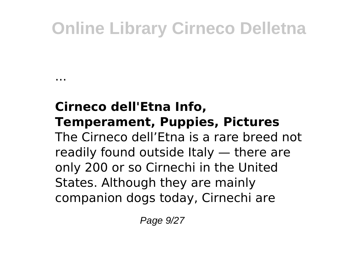...

#### **Cirneco dell'Etna Info, Temperament, Puppies, Pictures** The Cirneco dell'Etna is a rare breed not readily found outside Italy — there are only 200 or so Cirnechi in the United States. Although they are mainly companion dogs today, Cirnechi are

Page 9/27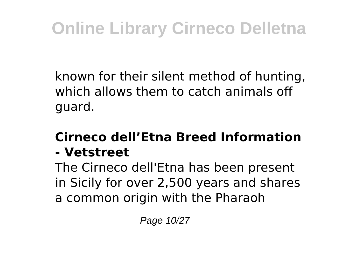known for their silent method of hunting, which allows them to catch animals off guard.

#### **Cirneco dell'Etna Breed Information - Vetstreet**

The Cirneco dell'Etna has been present in Sicily for over 2,500 years and shares a common origin with the Pharaoh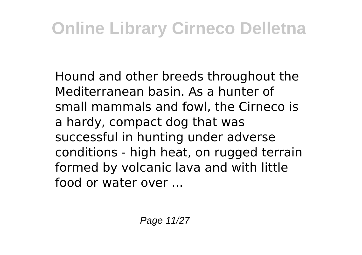Hound and other breeds throughout the Mediterranean basin. As a hunter of small mammals and fowl, the Cirneco is a hardy, compact dog that was successful in hunting under adverse conditions - high heat, on rugged terrain formed by volcanic lava and with little food or water over ...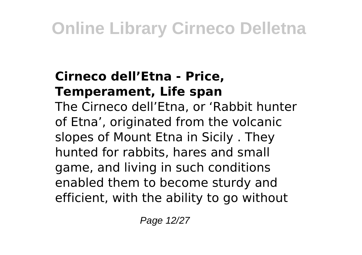#### **Cirneco dell'Etna - Price, Temperament, Life span**

The Cirneco dell'Etna, or 'Rabbit hunter of Etna', originated from the volcanic slopes of Mount Etna in Sicily . They hunted for rabbits, hares and small game, and living in such conditions enabled them to become sturdy and efficient, with the ability to go without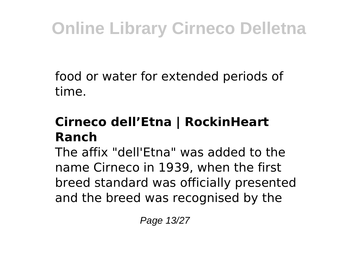food or water for extended periods of time.

#### **Cirneco dell'Etna | RockinHeart Ranch**

The affix "dell'Etna" was added to the name Cirneco in 1939, when the first breed standard was officially presented and the breed was recognised by the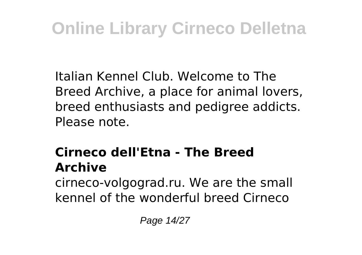Italian Kennel Club. Welcome to The Breed Archive, a place for animal lovers, breed enthusiasts and pedigree addicts. Please note.

#### **Cirneco dell'Etna - The Breed Archive**

cirneco-volgograd.ru. We are the small kennel of the wonderful breed Cirneco

Page 14/27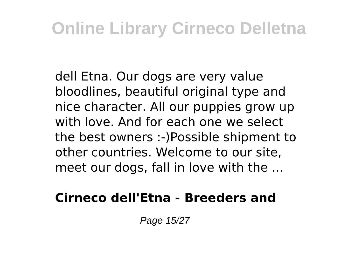dell Etna. Our dogs are very value bloodlines, beautiful original type and nice character. All our puppies grow up with love. And for each one we select the best owners :-)Possible shipment to other countries. Welcome to our site, meet our dogs, fall in love with the ...

#### **Cirneco dell'Etna - Breeders and**

Page 15/27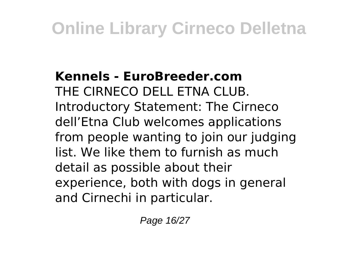#### **Kennels - EuroBreeder.com** THE CIRNECO DELL ETNA CLUB. Introductory Statement: The Cirneco dell'Etna Club welcomes applications from people wanting to join our judging list. We like them to furnish as much detail as possible about their experience, both with dogs in general and Cirnechi in particular.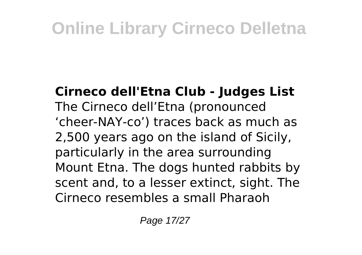**Cirneco dell'Etna Club - Judges List** The Cirneco dell'Etna (pronounced 'cheer-NAY-co') traces back as much as 2,500 years ago on the island of Sicily, particularly in the area surrounding Mount Etna. The dogs hunted rabbits by scent and, to a lesser extinct, sight. The Cirneco resembles a small Pharaoh

Page 17/27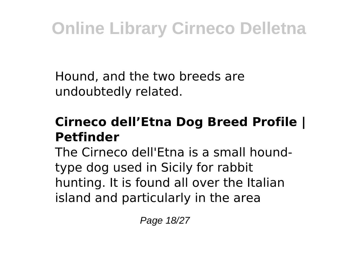Hound, and the two breeds are undoubtedly related.

#### **Cirneco dell'Etna Dog Breed Profile | Petfinder**

The Cirneco dell'Etna is a small houndtype dog used in Sicily for rabbit hunting. It is found all over the Italian island and particularly in the area

Page 18/27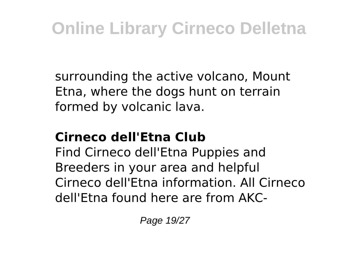surrounding the active volcano, Mount Etna, where the dogs hunt on terrain formed by volcanic lava.

#### **Cirneco dell'Etna Club**

Find Cirneco dell'Etna Puppies and Breeders in your area and helpful Cirneco dell'Etna information. All Cirneco dell'Etna found here are from AKC-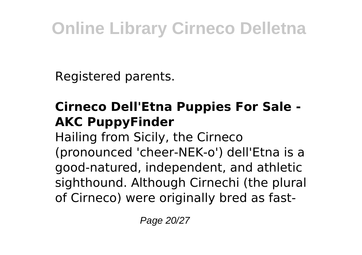Registered parents.

#### **Cirneco Dell'Etna Puppies For Sale - AKC PuppyFinder**

Hailing from Sicily, the Cirneco (pronounced 'cheer-NEK-o') dell'Etna is a good-natured, independent, and athletic sighthound. Although Cirnechi (the plural of Cirneco) were originally bred as fast-

Page 20/27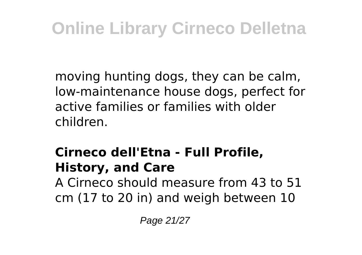moving hunting dogs, they can be calm, low-maintenance house dogs, perfect for active families or families with older children.

#### **Cirneco dell'Etna - Full Profile, History, and Care**

A Cirneco should measure from 43 to 51 cm (17 to 20 in) and weigh between 10

Page 21/27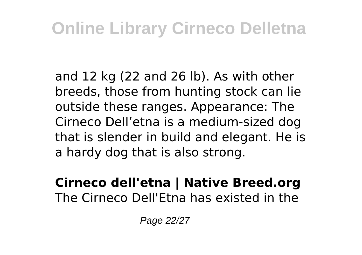and 12 kg (22 and 26 lb). As with other breeds, those from hunting stock can lie outside these ranges. Appearance: The Cirneco Dell'etna is a medium-sized dog that is slender in build and elegant. He is a hardy dog that is also strong.

#### **Cirneco dell'etna | Native Breed.org** The Cirneco Dell'Etna has existed in the

Page 22/27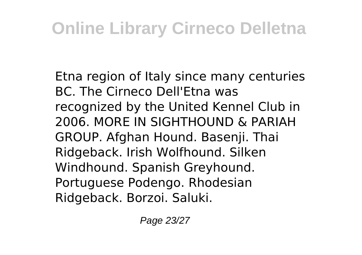Etna region of Italy since many centuries BC. The Cirneco Dell'Etna was recognized by the United Kennel Club in 2006. MORE IN SIGHTHOUND & PARIAH GROUP. Afghan Hound. Basenji. Thai Ridgeback. Irish Wolfhound. Silken Windhound. Spanish Greyhound. Portuguese Podengo. Rhodesian Ridgeback. Borzoi. Saluki.

Page 23/27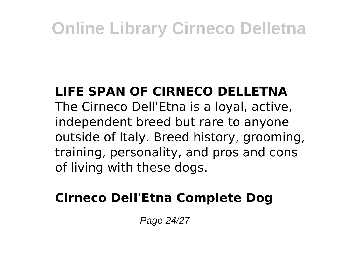#### **LIFE SPAN OF CIRNECO DELLETNA**

The Cirneco Dell'Etna is a loyal, active, independent breed but rare to anyone outside of Italy. Breed history, grooming, training, personality, and pros and cons of living with these dogs.

#### **Cirneco Dell'Etna Complete Dog**

Page 24/27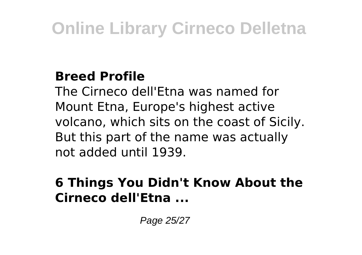#### **Breed Profile**

The Cirneco dell'Etna was named for Mount Etna, Europe's highest active volcano, which sits on the coast of Sicily. But this part of the name was actually not added until 1939.

#### **6 Things You Didn't Know About the Cirneco dell'Etna ...**

Page 25/27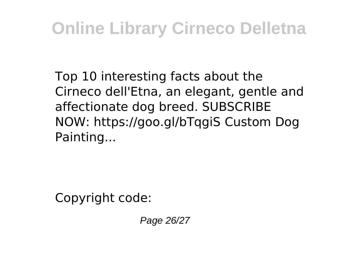Top 10 interesting facts about the Cirneco dell'Etna, an elegant, gentle and affectionate dog breed. SUBSCRIBE NOW: https://goo.gl/bTqgiS Custom Dog Painting...

Copyright code:

Page 26/27